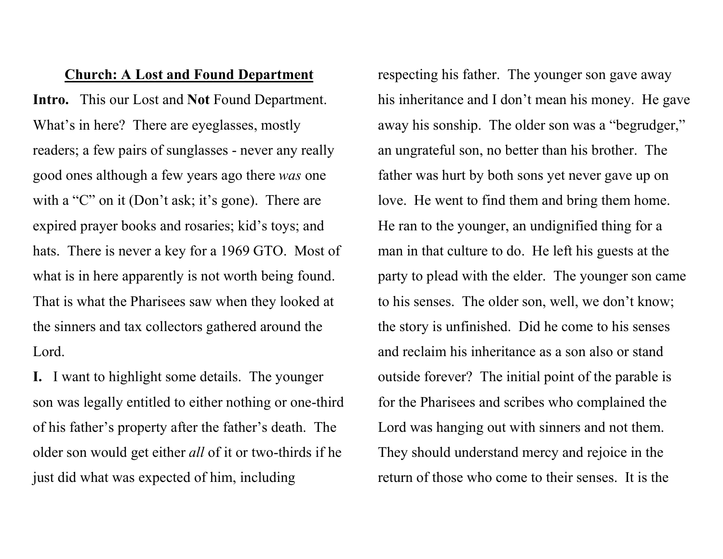## Church: A Lost and Found Department

Intro. This our Lost and Not Found Department. What's in here? There are eyeglasses, mostly readers; a few pairs of sunglasses - never any really good ones although a few years ago there was one with a "C" on it (Don't ask; it's gone). There are expired prayer books and rosaries; kid's toys; and hats. There is never a key for a 1969 GTO. Most of what is in here apparently is not worth being found. That is what the Pharisees saw when they looked at the sinners and tax collectors gathered around the Lord.

I. I want to highlight some details. The younger son was legally entitled to either nothing or one-third of his father's property after the father's death. The older son would get either all of it or two-thirds if he just did what was expected of him, including

respecting his father. The younger son gave away his inheritance and I don't mean his money. He gave away his sonship. The older son was a "begrudger," an ungrateful son, no better than his brother. The father was hurt by both sons yet never gave up on love. He went to find them and bring them home. He ran to the younger, an undignified thing for a man in that culture to do. He left his guests at the party to plead with the elder. The younger son came to his senses. The older son, well, we don't know; the story is unfinished. Did he come to his senses and reclaim his inheritance as a son also or stand outside forever? The initial point of the parable is for the Pharisees and scribes who complained the Lord was hanging out with sinners and not them. They should understand mercy and rejoice in the return of those who come to their senses. It is the